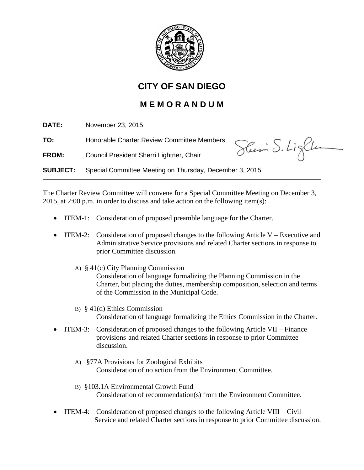

## **CITY OF SAN DIEGO**

## **M E M O R A N D U M**

**DATE:** November 23, 2015 **TO:** Honorable Charter Review Committee Members Slum S. Light **FROM:** Council President Sherri Lightner, Chair **SUBJECT:** Special Committee Meeting on Thursday, December 3, 2015

The Charter Review Committee will convene for a Special Committee Meeting on December 3, 2015, at 2:00 p.m. in order to discuss and take action on the following item(s):

- ITEM-1: Consideration of proposed preamble language for the Charter.
- ITEM-2: Consideration of proposed changes to the following Article V Executive and Administrative Service provisions and related Charter sections in response to prior Committee discussion.
	- A) § 41(c) City Planning Commission Consideration of language formalizing the Planning Commission in the Charter, but placing the duties, membership composition, selection and terms of the Commission in the Municipal Code.
	- B) § 41(d) Ethics Commission Consideration of language formalizing the Ethics Commission in the Charter.
- ITEM-3: Consideration of proposed changes to the following Article VII Finance provisions and related Charter sections in response to prior Committee discussion.
	- A) §77A Provisions for Zoological Exhibits Consideration of no action from the Environment Committee.
	- B) §103.1A Environmental Growth Fund Consideration of recommendation(s) from the Environment Committee.
- ITEM-4: Consideration of proposed changes to the following Article VIII Civil Service and related Charter sections in response to prior Committee discussion.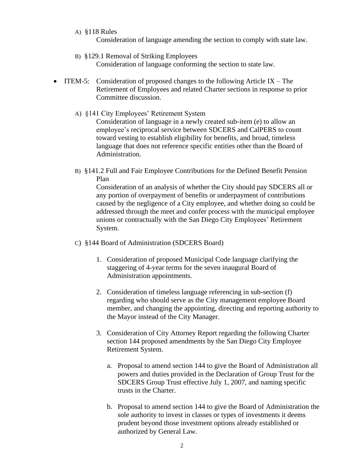A) §118 Rules

Consideration of language amending the section to comply with state law.

- B) §129.1 Removal of Striking Employees Consideration of language conforming the section to state law.
- ITEM-5: Consideration of proposed changes to the following Article IX The Retirement of Employees and related Charter sections in response to prior Committee discussion.
	- A) §141 City Employees' Retirement System Consideration of language in a newly created sub-item (e) to allow an employee's reciprocal service between SDCERS and CalPERS to count toward vesting to establish eligibility for benefits, and broad, timeless language that does not reference specific entities other than the Board of Administration.
	- B) §141.2 Full and Fair Employee Contributions for the Defined Benefit Pension Plan

Consideration of an analysis of whether the City should pay SDCERS all or any portion of overpayment of benefits or underpayment of contributions caused by the negligence of a City employee, and whether doing so could be addressed through the meet and confer process with the municipal employee unions or contractually with the San Diego City Employees' Retirement System.

- C) §144 Board of Administration (SDCERS Board)
	- 1. Consideration of proposed Municipal Code language clarifying the staggering of 4-year terms for the seven inaugural Board of Administration appointments.
	- 2. Consideration of timeless language referencing in sub-section (f) regarding who should serve as the City management employee Board member, and changing the appointing, directing and reporting authority to the Mayor instead of the City Manager.
	- 3. Consideration of City Attorney Report regarding the following Charter section 144 proposed amendments by the San Diego City Employee Retirement System.
		- a. Proposal to amend section 144 to give the Board of Administration all powers and duties provided in the Declaration of Group Trust for the SDCERS Group Trust effective July 1, 2007, and naming specific trusts in the Charter.
		- b. Proposal to amend section 144 to give the Board of Administration the sole authority to invest in classes or types of investments it deems prudent beyond those investment options already established or authorized by General Law.